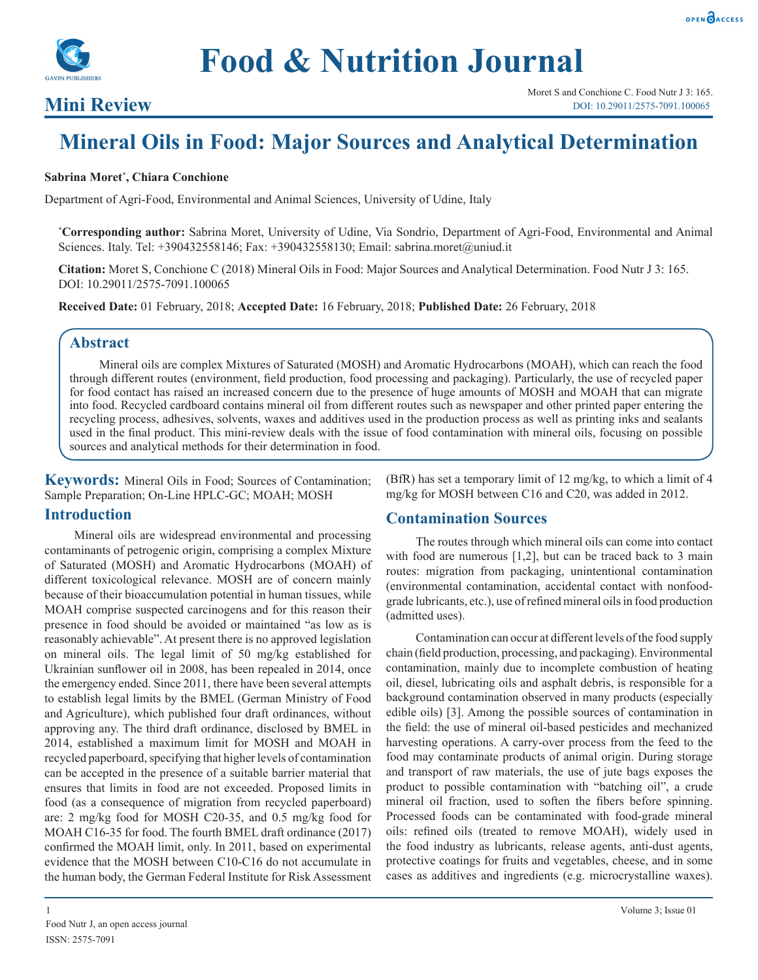



## **Mini Review**

# **Mineral Oils in Food: Major Sources and Analytical Determination**

#### **Sabrina Moret\* , Chiara Conchione**

Department of Agri-Food, Environmental and Animal Sciences, University of Udine, Italy

**\* Corresponding author:** Sabrina Moret, University of Udine, Via Sondrio, Department of Agri-Food, Environmental and Animal Sciences. Italy. Tel: +390432558146; Fax: +390432558130; Email: sabrina.moret@uniud.it

**Citation:** Moret S, Conchione C (2018) Mineral Oils in Food: Major Sources and Analytical Determination. Food Nutr J 3: 165. DOI: 10.29011/2575-7091.100065

**Received Date:** 01 February, 2018; **Accepted Date:** 16 February, 2018; **Published Date:** 26 February, 2018

#### **Abstract**

Mineral oils are complex Mixtures of Saturated (MOSH) and Aromatic Hydrocarbons (MOAH), which can reach the food through different routes (environment, field production, food processing and packaging). Particularly, the use of recycled paper for food contact has raised an increased concern due to the presence of huge amounts of MOSH and MOAH that can migrate into food. Recycled cardboard contains mineral oil from different routes such as newspaper and other printed paper entering the recycling process, adhesives, solvents, waxes and additives used in the production process as well as printing inks and sealants used in the final product. This mini-review deals with the issue of food contamination with mineral oils, focusing on possible sources and analytical methods for their determination in food.

**Keywords:** Mineral Oils in Food; Sources of Contamination; Sample Preparation; On-Line HPLC-GC; MOAH; MOSH

#### **Introduction**

Mineral oils are widespread environmental and processing contaminants of petrogenic origin, comprising a complex Mixture of Saturated (MOSH) and Aromatic Hydrocarbons (MOAH) of different toxicological relevance. MOSH are of concern mainly because of their bioaccumulation potential in human tissues, while MOAH comprise suspected carcinogens and for this reason their presence in food should be avoided or maintained "as low as is reasonably achievable". At present there is no approved legislation on mineral oils. The legal limit of 50 mg/kg established for Ukrainian sunflower oil in 2008, has been repealed in 2014, once the emergency ended. Since 2011, there have been several attempts to establish legal limits by the BMEL (German Ministry of Food and Agriculture), which published four draft ordinances, without approving any. The third draft ordinance, disclosed by BMEL in 2014, established a maximum limit for MOSH and MOAH in recycled paperboard, specifying that higher levels of contamination can be accepted in the presence of a suitable barrier material that ensures that limits in food are not exceeded. Proposed limits in food (as a consequence of migration from recycled paperboard) are: 2 mg/kg food for MOSH C20-35, and 0.5 mg/kg food for MOAH C16-35 for food. The fourth BMEL draft ordinance (2017) confirmed the MOAH limit, only. In 2011, based on experimental evidence that the MOSH between C10-C16 do not accumulate in the human body, the German Federal Institute for Risk Assessment

(BfR) has set a temporary limit of 12 mg/kg, to which a limit of 4 mg/kg for MOSH between C16 and C20, was added in 2012.

#### **Contamination Sources**

The routes through which mineral oils can come into contact with food are numerous [1,2], but can be traced back to 3 main routes: migration from packaging, unintentional contamination (environmental contamination, accidental contact with nonfoodgrade lubricants, etc.), use of refined mineral oils in food production (admitted uses).

Contamination can occur at different levels of the food supply chain (field production, processing, and packaging). Environmental contamination, mainly due to incomplete combustion of heating oil, diesel, lubricating oils and asphalt debris, is responsible for a background contamination observed in many products (especially edible oils) [3]. Among the possible sources of contamination in the field: the use of mineral oil-based pesticides and mechanized harvesting operations. A carry-over process from the feed to the food may contaminate products of animal origin. During storage and transport of raw materials, the use of jute bags exposes the product to possible contamination with "batching oil", a crude mineral oil fraction, used to soften the fibers before spinning. Processed foods can be contaminated with food-grade mineral oils: refined oils (treated to remove MOAH), widely used in the food industry as lubricants, release agents, anti-dust agents, protective coatings for fruits and vegetables, cheese, and in some cases as additives and ingredients (e.g. microcrystalline waxes).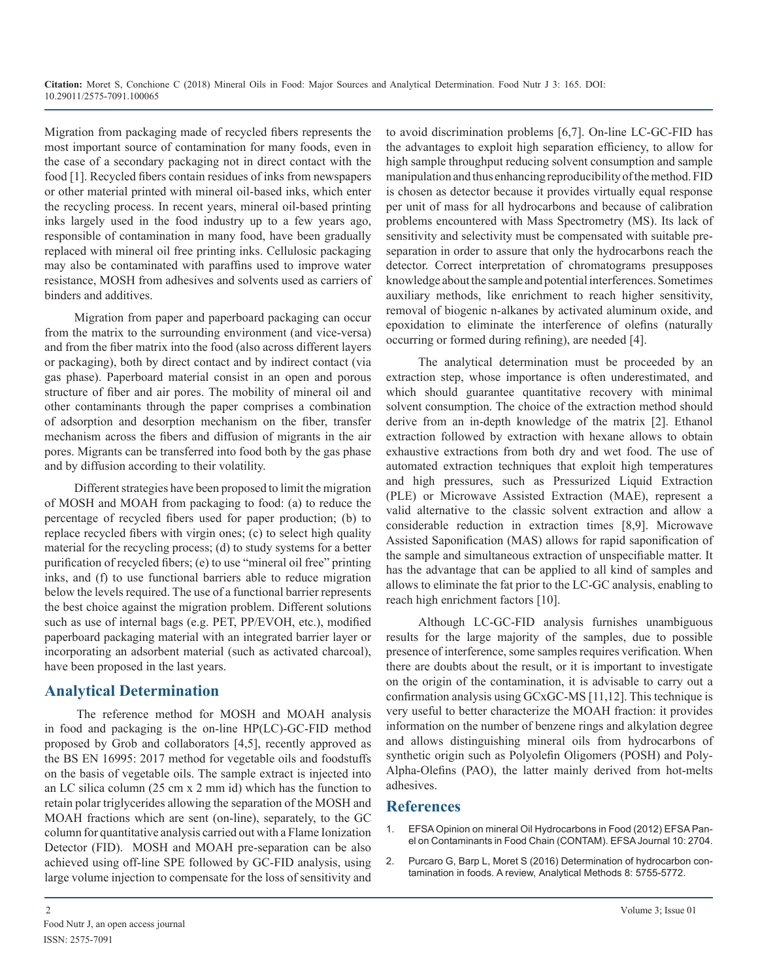Migration from packaging made of recycled fibers represents the most important source of contamination for many foods, even in the case of a secondary packaging not in direct contact with the food [1]. Recycled fibers contain residues of inks from newspapers or other material printed with mineral oil-based inks, which enter the recycling process. In recent years, mineral oil-based printing inks largely used in the food industry up to a few years ago, responsible of contamination in many food, have been gradually replaced with mineral oil free printing inks. Cellulosic packaging may also be contaminated with paraffins used to improve water resistance, MOSH from adhesives and solvents used as carriers of binders and additives.

Migration from paper and paperboard packaging can occur from the matrix to the surrounding environment (and vice-versa) and from the fiber matrix into the food (also across different layers or packaging), both by direct contact and by indirect contact (via gas phase). Paperboard material consist in an open and porous structure of fiber and air pores. The mobility of mineral oil and other contaminants through the paper comprises a combination of adsorption and desorption mechanism on the fiber, transfer mechanism across the fibers and diffusion of migrants in the air pores. Migrants can be transferred into food both by the gas phase and by diffusion according to their volatility.

Different strategies have been proposed to limit the migration of MOSH and MOAH from packaging to food: (a) to reduce the percentage of recycled fibers used for paper production; (b) to replace recycled fibers with virgin ones; (c) to select high quality material for the recycling process; (d) to study systems for a better purification of recycled fibers; (e) to use "mineral oil free" printing inks, and (f) to use functional barriers able to reduce migration below the levels required. The use of a functional barrier represents the best choice against the migration problem. Different solutions such as use of internal bags (e.g. PET, PP/EVOH, etc.), modified paperboard packaging material with an integrated barrier layer or incorporating an adsorbent material (such as activated charcoal), have been proposed in the last years.

### **Analytical Determination**

The reference method for MOSH and MOAH analysis in food and packaging is the on-line HP(LC)-GC-FID method proposed by Grob and collaborators [4,5], recently approved as the BS EN 16995: 2017 method for vegetable oils and foodstuffs on the basis of vegetable oils. The sample extract is injected into an LC silica column (25 cm x 2 mm id) which has the function to retain polar triglycerides allowing the separation of the MOSH and MOAH fractions which are sent (on-line), separately, to the GC column for quantitative analysis carried out with a Flame Ionization Detector (FID). MOSH and MOAH pre-separation can be also achieved using off-line SPE followed by GC-FID analysis, using large volume injection to compensate for the loss of sensitivity and

to avoid discrimination problems [6,7]. On-line LC-GC-FID has the advantages to exploit high separation efficiency, to allow for high sample throughput reducing solvent consumption and sample manipulation and thus enhancing reproducibility of the method. FID is chosen as detector because it provides virtually equal response per unit of mass for all hydrocarbons and because of calibration problems encountered with Mass Spectrometry (MS). Its lack of sensitivity and selectivity must be compensated with suitable preseparation in order to assure that only the hydrocarbons reach the detector. Correct interpretation of chromatograms presupposes knowledge about the sample and potential interferences. Sometimes auxiliary methods, like enrichment to reach higher sensitivity, removal of biogenic n-alkanes by activated aluminum oxide, and epoxidation to eliminate the interference of olefins (naturally occurring or formed during refining), are needed [4].

The analytical determination must be proceeded by an extraction step, whose importance is often underestimated, and which should guarantee quantitative recovery with minimal solvent consumption. The choice of the extraction method should derive from an in-depth knowledge of the matrix [2]. Ethanol extraction followed by extraction with hexane allows to obtain exhaustive extractions from both dry and wet food. The use of automated extraction techniques that exploit high temperatures and high pressures, such as Pressurized Liquid Extraction (PLE) or Microwave Assisted Extraction (MAE), represent a valid alternative to the classic solvent extraction and allow a considerable reduction in extraction times [8,9]. Microwave Assisted Saponification (MAS) allows for rapid saponification of the sample and simultaneous extraction of unspecifiable matter. It has the advantage that can be applied to all kind of samples and allows to eliminate the fat prior to the LC-GC analysis, enabling to reach high enrichment factors [10].

Although LC-GC-FID analysis furnishes unambiguous results for the large majority of the samples, due to possible presence of interference, some samples requires verification. When there are doubts about the result, or it is important to investigate on the origin of the contamination, it is advisable to carry out a confirmation analysis using GCxGC-MS [11,12]. This technique is very useful to better characterize the MOAH fraction: it provides information on the number of benzene rings and alkylation degree and allows distinguishing mineral oils from hydrocarbons of synthetic origin such as Polyolefin Oligomers (POSH) and Poly-Alpha-Olefins (PAO), the latter mainly derived from hot-melts adhesives.

#### **References**

- 1. [EFSA Opinion on mineral Oil Hydrocarbons in Food \(2012\) EFSA Pan](https://www.scribd.com/document/353404410/Scientific-Opinion-on-Mineral-Oil-Hydrocarbons-in-Food-EFSA-Journal-2012-10-6-2704)el on Contaminants in Food Chain (CONTAM). EFSA Journal 10: 2704.
- 2. [Purcaro G, Barp L, Moret S \(2016\) Determination of hydrocarbon con](http://pubs.rsc.org/en/content/articlelanding/2016/ay/c6ay00655h#!divAbstract)tamination in foods. A review, Analytical Methods 8: 5755-5772.